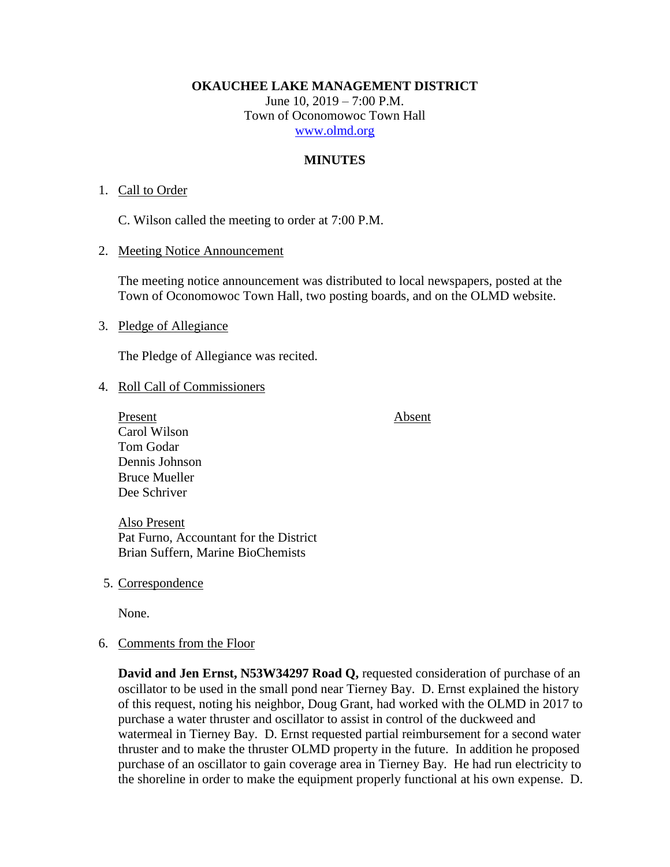**OKAUCHEE LAKE MANAGEMENT DISTRICT**

June 10, 2019 – 7:00 P.M. Town of Oconomowoc Town Hall [www.olmd.org](http://www.olmd.org/)

## **MINUTES**

### 1. Call to Order

C. Wilson called the meeting to order at 7:00 P.M.

### 2. Meeting Notice Announcement

The meeting notice announcement was distributed to local newspapers, posted at the Town of Oconomowoc Town Hall, two posting boards, and on the OLMD website.

### 3. Pledge of Allegiance

The Pledge of Allegiance was recited.

## 4. Roll Call of Commissioners

Present Absent Carol Wilson Tom Godar Dennis Johnson Bruce Mueller Dee Schriver

Also Present Pat Furno, Accountant for the District Brian Suffern, Marine BioChemists

5. Correspondence

None.

### 6. Comments from the Floor

**David and Jen Ernst, N53W34297 Road Q,** requested consideration of purchase of an oscillator to be used in the small pond near Tierney Bay. D. Ernst explained the history of this request, noting his neighbor, Doug Grant, had worked with the OLMD in 2017 to purchase a water thruster and oscillator to assist in control of the duckweed and watermeal in Tierney Bay. D. Ernst requested partial reimbursement for a second water thruster and to make the thruster OLMD property in the future. In addition he proposed purchase of an oscillator to gain coverage area in Tierney Bay. He had run electricity to the shoreline in order to make the equipment properly functional at his own expense. D.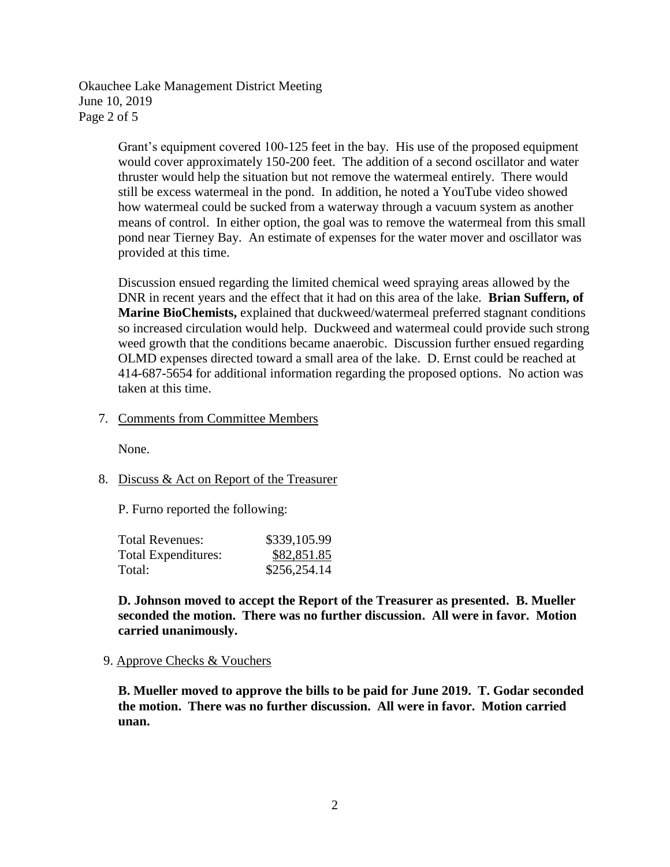Okauchee Lake Management District Meeting June 10, 2019 Page 2 of 5

> Grant's equipment covered 100-125 feet in the bay. His use of the proposed equipment would cover approximately 150-200 feet. The addition of a second oscillator and water thruster would help the situation but not remove the watermeal entirely. There would still be excess watermeal in the pond. In addition, he noted a YouTube video showed how watermeal could be sucked from a waterway through a vacuum system as another means of control. In either option, the goal was to remove the watermeal from this small pond near Tierney Bay. An estimate of expenses for the water mover and oscillator was provided at this time.

> Discussion ensued regarding the limited chemical weed spraying areas allowed by the DNR in recent years and the effect that it had on this area of the lake. **Brian Suffern, of Marine BioChemists,** explained that duckweed/watermeal preferred stagnant conditions so increased circulation would help. Duckweed and watermeal could provide such strong weed growth that the conditions became anaerobic. Discussion further ensued regarding OLMD expenses directed toward a small area of the lake. D. Ernst could be reached at 414-687-5654 for additional information regarding the proposed options. No action was taken at this time.

7. Comments from Committee Members

None.

8. Discuss & Act on Report of the Treasurer

P. Furno reported the following:

| <b>Total Revenues:</b>     | \$339,105.99 |
|----------------------------|--------------|
| <b>Total Expenditures:</b> | \$82,851.85  |
| Total:                     | \$256,254.14 |

**D. Johnson moved to accept the Report of the Treasurer as presented. B. Mueller seconded the motion. There was no further discussion. All were in favor. Motion carried unanimously.**

9. Approve Checks & Vouchers

**B. Mueller moved to approve the bills to be paid for June 2019. T. Godar seconded the motion. There was no further discussion. All were in favor. Motion carried unan.**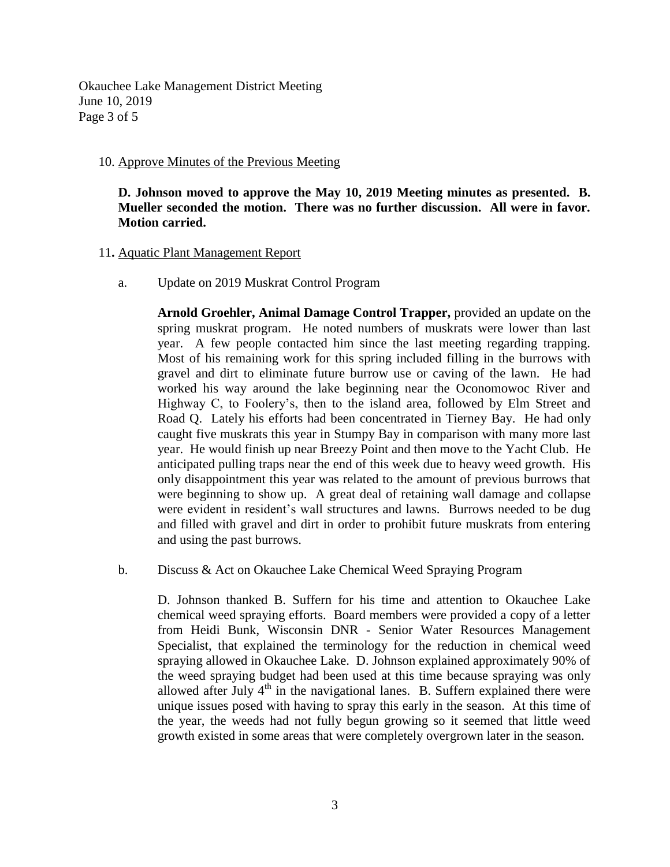Okauchee Lake Management District Meeting June 10, 2019 Page 3 of 5

### 10. Approve Minutes of the Previous Meeting

**D. Johnson moved to approve the May 10, 2019 Meeting minutes as presented. B. Mueller seconded the motion. There was no further discussion. All were in favor. Motion carried.**

## 11**.** Aquatic Plant Management Report

a. Update on 2019 Muskrat Control Program

**Arnold Groehler, Animal Damage Control Trapper,** provided an update on the spring muskrat program. He noted numbers of muskrats were lower than last year. A few people contacted him since the last meeting regarding trapping. Most of his remaining work for this spring included filling in the burrows with gravel and dirt to eliminate future burrow use or caving of the lawn. He had worked his way around the lake beginning near the Oconomowoc River and Highway C, to Foolery's, then to the island area, followed by Elm Street and Road Q. Lately his efforts had been concentrated in Tierney Bay. He had only caught five muskrats this year in Stumpy Bay in comparison with many more last year. He would finish up near Breezy Point and then move to the Yacht Club. He anticipated pulling traps near the end of this week due to heavy weed growth. His only disappointment this year was related to the amount of previous burrows that were beginning to show up. A great deal of retaining wall damage and collapse were evident in resident's wall structures and lawns. Burrows needed to be dug and filled with gravel and dirt in order to prohibit future muskrats from entering and using the past burrows.

b. Discuss & Act on Okauchee Lake Chemical Weed Spraying Program

D. Johnson thanked B. Suffern for his time and attention to Okauchee Lake chemical weed spraying efforts. Board members were provided a copy of a letter from Heidi Bunk, Wisconsin DNR - Senior Water Resources Management Specialist, that explained the terminology for the reduction in chemical weed spraying allowed in Okauchee Lake. D. Johnson explained approximately 90% of the weed spraying budget had been used at this time because spraying was only allowed after July  $4<sup>th</sup>$  in the navigational lanes. B. Suffern explained there were unique issues posed with having to spray this early in the season. At this time of the year, the weeds had not fully begun growing so it seemed that little weed growth existed in some areas that were completely overgrown later in the season.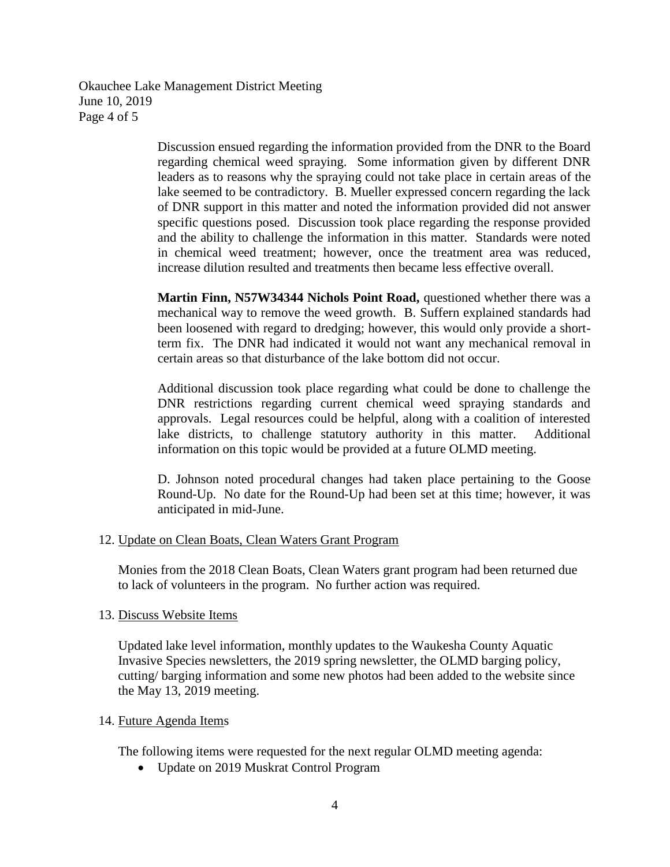Okauchee Lake Management District Meeting June 10, 2019 Page 4 of 5

> Discussion ensued regarding the information provided from the DNR to the Board regarding chemical weed spraying. Some information given by different DNR leaders as to reasons why the spraying could not take place in certain areas of the lake seemed to be contradictory. B. Mueller expressed concern regarding the lack of DNR support in this matter and noted the information provided did not answer specific questions posed. Discussion took place regarding the response provided and the ability to challenge the information in this matter. Standards were noted in chemical weed treatment; however, once the treatment area was reduced, increase dilution resulted and treatments then became less effective overall.

> **Martin Finn, N57W34344 Nichols Point Road,** questioned whether there was a mechanical way to remove the weed growth. B. Suffern explained standards had been loosened with regard to dredging; however, this would only provide a shortterm fix. The DNR had indicated it would not want any mechanical removal in certain areas so that disturbance of the lake bottom did not occur.

> Additional discussion took place regarding what could be done to challenge the DNR restrictions regarding current chemical weed spraying standards and approvals. Legal resources could be helpful, along with a coalition of interested lake districts, to challenge statutory authority in this matter. Additional information on this topic would be provided at a future OLMD meeting.

> D. Johnson noted procedural changes had taken place pertaining to the Goose Round-Up. No date for the Round-Up had been set at this time; however, it was anticipated in mid-June.

12. Update on Clean Boats, Clean Waters Grant Program

Monies from the 2018 Clean Boats, Clean Waters grant program had been returned due to lack of volunteers in the program. No further action was required.

### 13. Discuss Website Items

Updated lake level information, monthly updates to the Waukesha County Aquatic Invasive Species newsletters, the 2019 spring newsletter, the OLMD barging policy, cutting/ barging information and some new photos had been added to the website since the May 13, 2019 meeting.

### 14. Future Agenda Items

The following items were requested for the next regular OLMD meeting agenda:

• Update on 2019 Muskrat Control Program